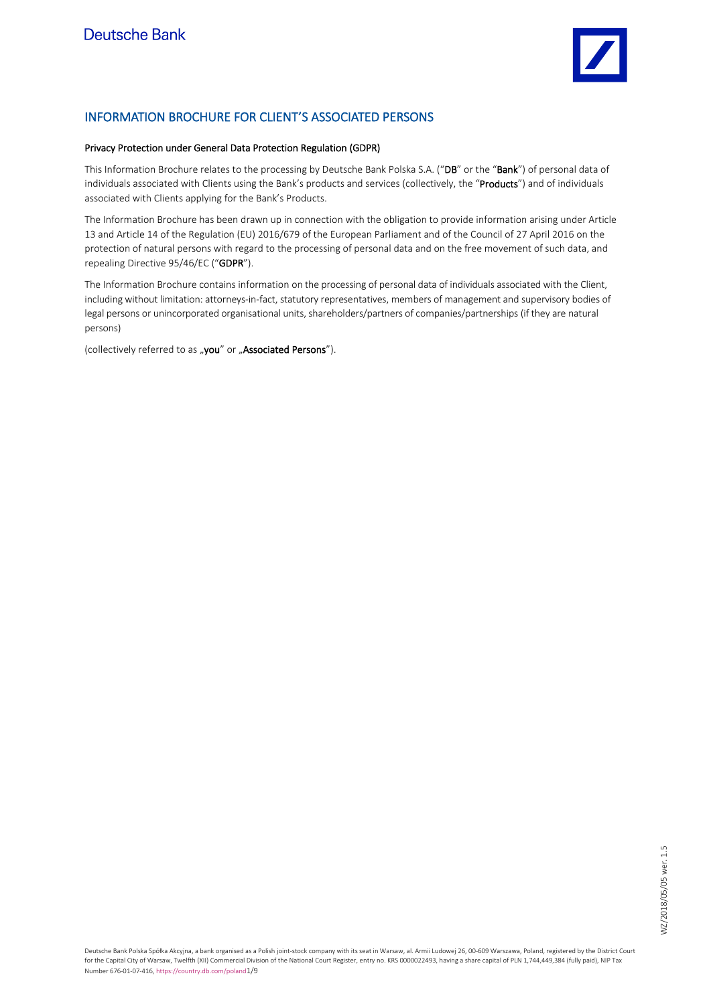

## INFORMATION BROCHURE FOR CLIENT'S ASSOCIATED PERSONS

## Privacy Protection under General Data Protection Regulation (GDPR)

This Information Brochure relates to the processing by Deutsche Bank Polska S.A. ("DB" or the "Bank") of personal data of individuals associated with Clients using the Bank's products and services (collectively, the "Products") and of individuals associated with Clients applying for the Bank's Products.

The Information Brochure has been drawn up in connection with the obligation to provide information arising under Article 13 and Article 14 of the Regulation (EU) 2016/679 of the European Parliament and of the Council of 27 April 2016 on the protection of natural persons with regard to the processing of personal data and on the free movement of such data, and repealing Directive 95/46/EC ("GDPR").

The Information Brochure contains information on the processing of personal data of individuals associated with the Client, including without limitation: attorneys-in-fact, statutory representatives, members of management and supervisory bodies of legal persons or unincorporated organisational units, shareholders/partners of companies/partnerships (if they are natural persons)

(collectively referred to as "you" or "Associated Persons").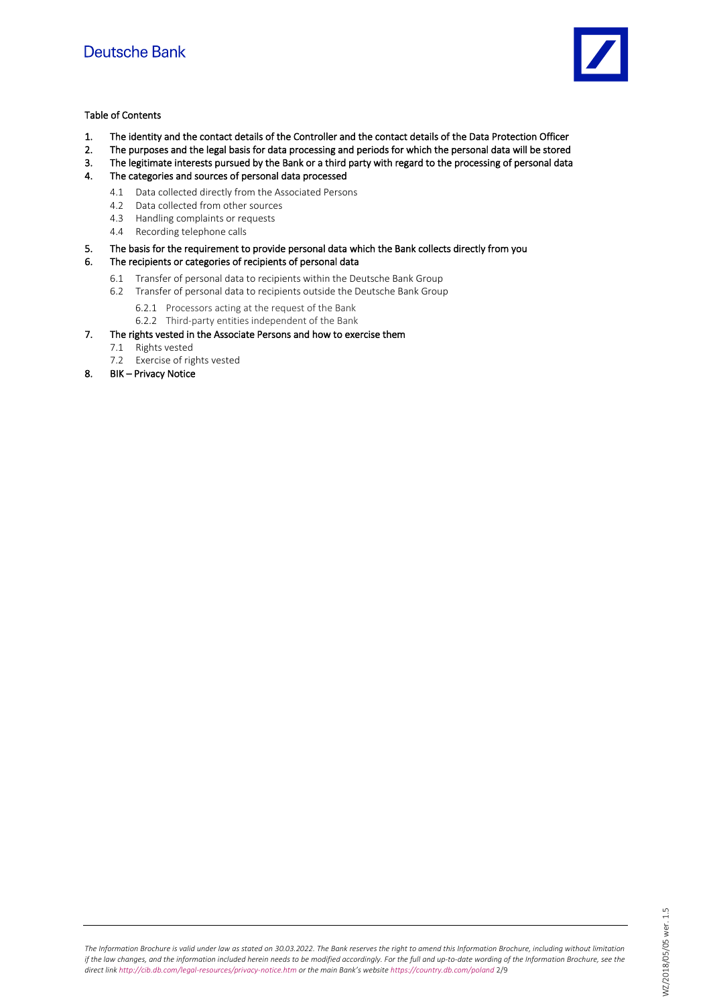

## Table of Contents

- 1. The identity and the contact details of the Controller and the contact details of the Data Protection Officer
- 2. The purposes and the legal basis for data processing and periods for which the personal data will be stored
- 3. The legitimate interests pursued by the Bank or a third party with regard to the processing of personal data
- 4. The categories and sources of personal data processed
	- 4.1 Data collected directly from the Associated Persons
	- 4.2 Data collected from other sources
	- 4.3 Handling complaints or requests
	- 4.4 Recording telephone calls
- 5. The basis for the requirement to provide personal data which the Bank collects directly from you

## 6. The recipients or categories of recipients of personal data

- 6.1 Transfer of personal data to recipients within the Deutsche Bank Group
- 6.2 Transfer of personal data to recipients outside the Deutsche Bank Group
	- 6.2.1 Processors acting at the request of the Bank
	- 6.2.2 Third-party entities independent of the Bank
- 7. The rights vested in the Associate Persons and how to exercise them
	- 7.1 Rights vested
	- 7.2 Exercise of rights vested
- 8. BIK Privacy Notice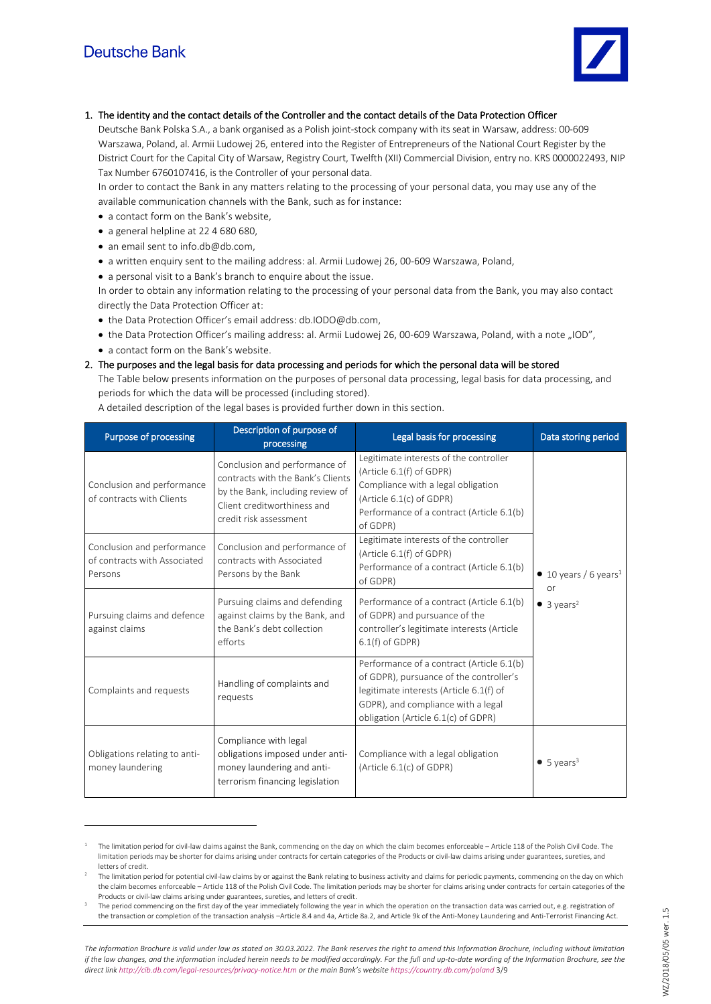

## 1. The identity and the contact details of the Controller and the contact details of the Data Protection Officer

Deutsche Bank Polska S.A., a bank organised as a Polish joint-stock company with its seat in Warsaw, address: 00-609 Warszawa, Poland, al. Armii Ludowej 26, entered into the Register of Entrepreneurs of the National Court Register by the District Court for the Capital City of Warsaw, Registry Court, Twelfth (XII) Commercial Division, entry no. KRS 0000022493, NIP Tax Number 6760107416, is the Controller of your personal data.

In order to contact the Bank in any matters relating to the processing of your personal data, you may use any of the available communication channels with the Bank, such as for instance:

- a contact form on the Bank's website,
- a general helpline at 22 4 680 680,
- an email sent to info.db@db.com,
- a written enquiry sent to the mailing address: al. Armii Ludowej 26, 00-609 Warszawa, Poland,

• a personal visit to a Bank's branch to enquire about the issue.

In order to obtain any information relating to the processing of your personal data from the Bank, you may also contact directly the Data Protection Officer at:

- the Data Protection Officer's email address[: db.IODO@db.com,](mailto:db.IODO@db.com)
- the Data Protection Officer's mailing address: al. Armii Ludowej 26, 00-609 Warszawa, Poland, with a note "IOD",
- a contact form on the Bank's website.

## 2. The purposes and the legal basis for data processing and periods for which the personal data will be stored

The Table below presents information on the purposes of personal data processing, legal basis for data processing, and periods for which the data will be processed (including stored).

A detailed description of the legal bases is provided further down in this section.

| <b>Purpose of processing</b>                                          | Description of purpose of<br>processing                                                                                                                         | Legal basis for processing                                                                                                                                                                                   | Data storing period                                                               |
|-----------------------------------------------------------------------|-----------------------------------------------------------------------------------------------------------------------------------------------------------------|--------------------------------------------------------------------------------------------------------------------------------------------------------------------------------------------------------------|-----------------------------------------------------------------------------------|
| Conclusion and performance<br>of contracts with Clients               | Conclusion and performance of<br>contracts with the Bank's Clients<br>by the Bank, including review of<br>Client creditworthiness and<br>credit risk assessment | Legitimate interests of the controller<br>(Article 6.1(f) of GDPR)<br>Compliance with a legal obligation<br>(Article 6.1(c) of GDPR)<br>Performance of a contract (Article 6.1(b)<br>of GDPR)                | $\bullet$ 10 years / 6 years <sup>1</sup><br>or<br>$\bullet$ 3 years <sup>2</sup> |
| Conclusion and performance<br>of contracts with Associated<br>Persons | Conclusion and performance of<br>contracts with Associated<br>Persons by the Bank                                                                               | Legitimate interests of the controller<br>(Article 6.1(f) of GDPR)<br>Performance of a contract (Article 6.1(b)<br>of GDPR)                                                                                  |                                                                                   |
| Pursuing claims and defence<br>against claims                         | Pursuing claims and defending<br>against claims by the Bank, and<br>the Bank's debt collection<br>efforts                                                       | Performance of a contract (Article 6.1(b)<br>of GDPR) and pursuance of the<br>controller's legitimate interests (Article<br>$6.1(f)$ of GDPR)                                                                |                                                                                   |
| Complaints and requests                                               | Handling of complaints and<br>requests                                                                                                                          | Performance of a contract (Article 6.1(b)<br>of GDPR), pursuance of the controller's<br>legitimate interests (Article 6.1(f) of<br>GDPR), and compliance with a legal<br>obligation (Article 6.1(c) of GDPR) |                                                                                   |
| Obligations relating to anti-<br>money laundering                     | Compliance with legal<br>obligations imposed under anti-<br>money laundering and anti-<br>terrorism financing legislation                                       | Compliance with a legal obligation<br>(Article 6.1(c) of GDPR)                                                                                                                                               | $\bullet$ 5 years <sup>3</sup>                                                    |

<sup>1</sup> The limitation period for civil-law claims against the Bank, commencing on the day on which the claim becomes enforceable – Article 118 of the Polish Civil Code. The limitation periods may be shorter for claims arising under contracts for certain categories of the Products or civil-law claims arising under guarantees, sureties, and letters of credit.

The limitation period for potential civil-law claims by or against the Bank relating to business activity and claims for periodic payments, commencing on the day on which the claim becomes enforceable – Article 118 of the Polish Civil Code. The limitation periods may be shorter for claims arising under contracts for certain categories of the Products or civil-law claims arising under guarantees, sureties, and letters of credit.

<sup>3</sup> The period commencing on the first day of the year immediately following the year in which the operation on the transaction data was carried out, e.g. registration of the transaction or completion of the transaction analysis –Article 8.4 and 4a, Article 8a.2, and Article 9k of the Anti-Money Laundering and Anti-Terrorist Financing Act.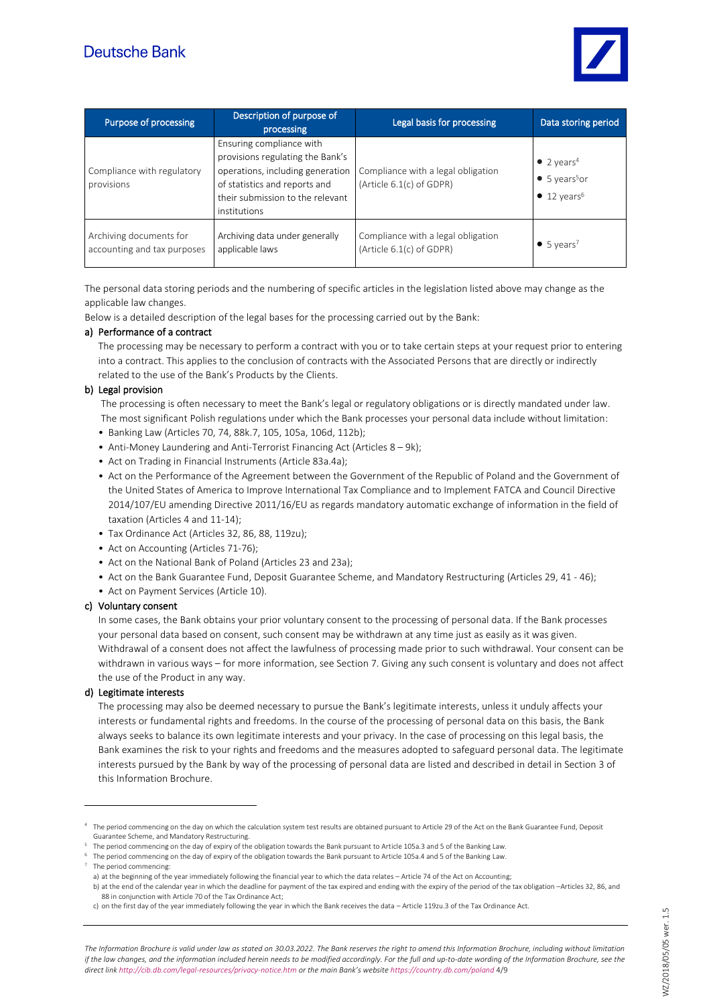

| Purpose of processing                                  | Description of purpose of<br>processing                                                                                                                                               | Legal basis for processing                                     | Data storing period                                                                            |
|--------------------------------------------------------|---------------------------------------------------------------------------------------------------------------------------------------------------------------------------------------|----------------------------------------------------------------|------------------------------------------------------------------------------------------------|
| Compliance with regulatory<br>provisions               | Ensuring compliance with<br>provisions regulating the Bank's<br>operations, including generation<br>of statistics and reports and<br>their submission to the relevant<br>institutions | Compliance with a legal obligation<br>(Article 6.1(c) of GDPR) | • 2 years <sup>4</sup><br>$\bullet$ 5 years <sup>5</sup> or<br>$\bullet$ 12 years <sup>6</sup> |
| Archiving documents for<br>accounting and tax purposes | Archiving data under generally<br>applicable laws                                                                                                                                     | Compliance with a legal obligation<br>(Article 6.1(c) of GDPR) | $\bullet$ 5 years <sup>7</sup>                                                                 |

The personal data storing periods and the numbering of specific articles in the legislation listed above may change as the applicable law changes.

Below is a detailed description of the legal bases for the processing carried out by the Bank:

#### a) Performance of a contract

The processing may be necessary to perform a contract with you or to take certain steps at your request prior to entering into a contract. This applies to the conclusion of contracts with the Associated Persons that are directly or indirectly related to the use of the Bank's Products by the Clients.

#### b) Legal provision

The processing is often necessary to meet the Bank's legal or regulatory obligations or is directly mandated under law. The most significant Polish regulations under which the Bank processes your personal data include without limitation:

- Banking Law (Articles 70, 74, 88k.7, 105, 105a, 106d, 112b);
- Anti-Money Laundering and Anti-Terrorist Financing Act (Articles 8 9k);
- Act on Trading in Financial Instruments (Article 83a.4a);
- Act on the Performance of the Agreement between the Government of the Republic of Poland and the Government of the United States of America to Improve International Tax Compliance and to Implement FATCA and Council Directive 2014/107/EU amending Directive 2011/16/EU as regards mandatory automatic exchange of information in the field of taxation (Articles 4 and 11-14);
- Tax Ordinance Act (Articles 32, 86, 88, 119zu);
- Act on Accounting (Articles 71-76);
- Act on the National Bank of Poland (Articles 23 and 23a);
- Act on the Bank Guarantee Fund, Deposit Guarantee Scheme, and Mandatory Restructuring (Articles 29, 41 46);
- Act on Payment Services (Article 10).

#### c) Voluntary consent

In some cases, the Bank obtains your prior voluntary consent to the processing of personal data. If the Bank processes your personal data based on consent, such consent may be withdrawn at any time just as easily as it was given. Withdrawal of a consent does not affect the lawfulness of processing made prior to such withdrawal. Your consent can be withdrawn in various ways – for more information, see Section 7. Giving any such consent is voluntary and does not affect the use of the Product in any way.

#### d) Legitimate interests

The processing may also be deemed necessary to pursue the Bank's legitimate interests, unless it unduly affects your interests or fundamental rights and freedoms. In the course of the processing of personal data on this basis, the Bank always seeks to balance its own legitimate interests and your privacy. In the case of processing on this legal basis, the Bank examines the risk to your rights and freedoms and the measures adopted to safeguard personal data. The legitimate interests pursued by the Bank by way of the processing of personal data are listed and described in detail in Section 3 of this Information Brochure.

<sup>4</sup> The period commencing on the day on which the calculation system test results are obtained pursuant to Article 29 of the Act on the Bank Guarantee Fund, Deposit Guarantee Scheme, and Mandatory Restructuring.

 $5$  The period commencing on the day of expiry of the obligation towards the Bank pursuant to Article 105a.3 and 5 of the Banking Law.

<sup>6</sup> The period commencing on the day of expiry of the obligation towards the Bank pursuant to Article 105a.4 and 5 of the Banking Law.

<sup>7</sup> The period commencing:

a) at the beginning of the year immediately following the financial year to which the data relates – Article 74 of the Act on Accounting; b) at the end of the calendar year in which the deadline for payment of the tax expired and ending with the expiry of the period of the tax obligation –Articles 32, 86, and 88 in conjunction with Article 70 of the Tax Ordinance Act;

c) on the first day of the year immediately following the year in which the Bank receives the data – Article 119zu.3 of the Tax Ordinance Act.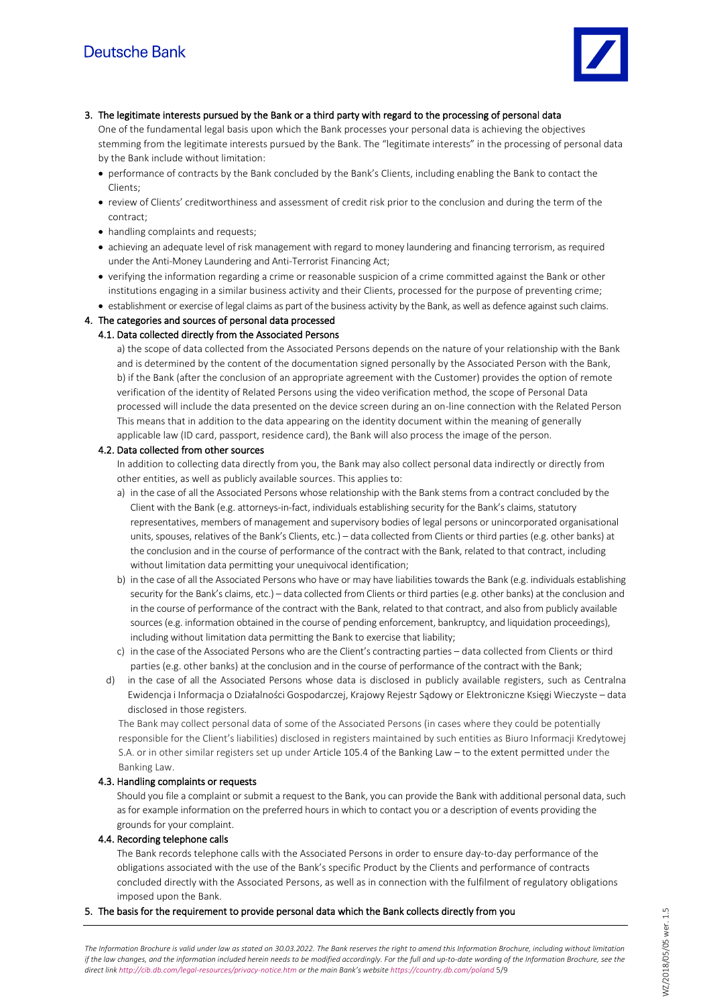

3. The legitimate interests pursued by the Bank or a third party with regard to the processing of personal data

One of the fundamental legal basis upon which the Bank processes your personal data is achieving the objectives stemming from the legitimate interests pursued by the Bank. The "legitimate interests" in the processing of personal data by the Bank include without limitation:

- performance of contracts by the Bank concluded by the Bank's Clients, including enabling the Bank to contact the Clients;
- review of Clients' creditworthiness and assessment of credit risk prior to the conclusion and during the term of the contract;
- handling complaints and requests;
- achieving an adequate level of risk management with regard to money laundering and financing terrorism, as required under the Anti-Money Laundering and Anti-Terrorist Financing Act;
- verifying the information regarding a crime or reasonable suspicion of a crime committed against the Bank or other institutions engaging in a similar business activity and their Clients, processed for the purpose of preventing crime;
- establishment or exercise of legal claims as part of the business activity by the Bank, as well as defence against such claims.

## 4. The categories and sources of personal data processed

## 4.1. Data collected directly from the Associated Persons

a) the scope of data collected from the Associated Persons depends on the nature of your relationship with the Bank and is determined by the content of the documentation signed personally by the Associated Person with the Bank, b) if the Bank (after the conclusion of an appropriate agreement with the Customer) provides the option of remote verification of the identity of Related Persons using the video verification method, the scope of Personal Data processed will include the data presented on the device screen during an on-line connection with the Related Person This means that in addition to the data appearing on the identity document within the meaning of generally applicable law (ID card, passport, residence card), the Bank will also process the image of the person.

## 4.2. Data collected from other sources

In addition to collecting data directly from you, the Bank may also collect personal data indirectly or directly from other entities, as well as publicly available sources. This applies to:

- a) in the case of all the Associated Persons whose relationship with the Bank stems from a contract concluded by the Client with the Bank (e.g. attorneys-in-fact, individuals establishing security for the Bank's claims, statutory representatives, members of management and supervisory bodies of legal persons or unincorporated organisational units, spouses, relatives of the Bank's Clients, etc.) – data collected from Clients or third parties (e.g. other banks) at the conclusion and in the course of performance of the contract with the Bank, related to that contract, including without limitation data permitting your unequivocal identification;
- b) in the case of all the Associated Persons who have or may have liabilities towards the Bank (e.g. individuals establishing security for the Bank's claims, etc.) – data collected from Clients or third parties (e.g. other banks) at the conclusion and in the course of performance of the contract with the Bank, related to that contract, and also from publicly available sources (e.g. information obtained in the course of pending enforcement, bankruptcy, and liquidation proceedings), including without limitation data permitting the Bank to exercise that liability;
- c) in the case of the Associated Persons who are the Client's contracting parties data collected from Clients or third parties (e.g. other banks) at the conclusion and in the course of performance of the contract with the Bank;
- d) in the case of all the Associated Persons whose data is disclosed in publicly available registers, such as Centralna Ewidencja i Informacja o Działalności Gospodarczej, Krajowy Rejestr Sądowy or Elektroniczne Księgi Wieczyste – data disclosed in those registers.

The Bank may collect personal data of some of the Associated Persons (in cases where they could be potentially responsible for the Client's liabilities) disclosed in registers maintained by such entities as Biuro Informacji Kredytowej S.A. or in other similar registers set up under Article 105.4 of the Banking Law – to the extent permitted under the Banking Law.

## 4.3. Handling complaints or requests

Should you file a complaint or submit a request to the Bank, you can provide the Bank with additional personal data, such as for example information on the preferred hours in which to contact you or a description of events providing the grounds for your complaint.

## 4.4. Recording telephone calls

The Bank records telephone calls with the Associated Persons in order to ensure day-to-day performance of the obligations associated with the use of the Bank's specific Product by the Clients and performance of contracts concluded directly with the Associated Persons, as well as in connection with the fulfilment of regulatory obligations imposed upon the Bank.

## 5. The basis for the requirement to provide personal data which the Bank collects directly from you

*The Information Brochure is valid under law as stated on 30.03.2022. The Bank reserves the right to amend this Information Brochure, including without limitation if the law changes, and the information included herein needs to be modified accordingly. For the full and up-to-date wording of the Information Brochure, see the direct lin[k http://cib.db.com/legal-resources/privacy-notice.htm](http://cib.db.com/legal-resources/privacy-notice.htm) or the main Bank's website <https://country.db.com/poland>* 5/9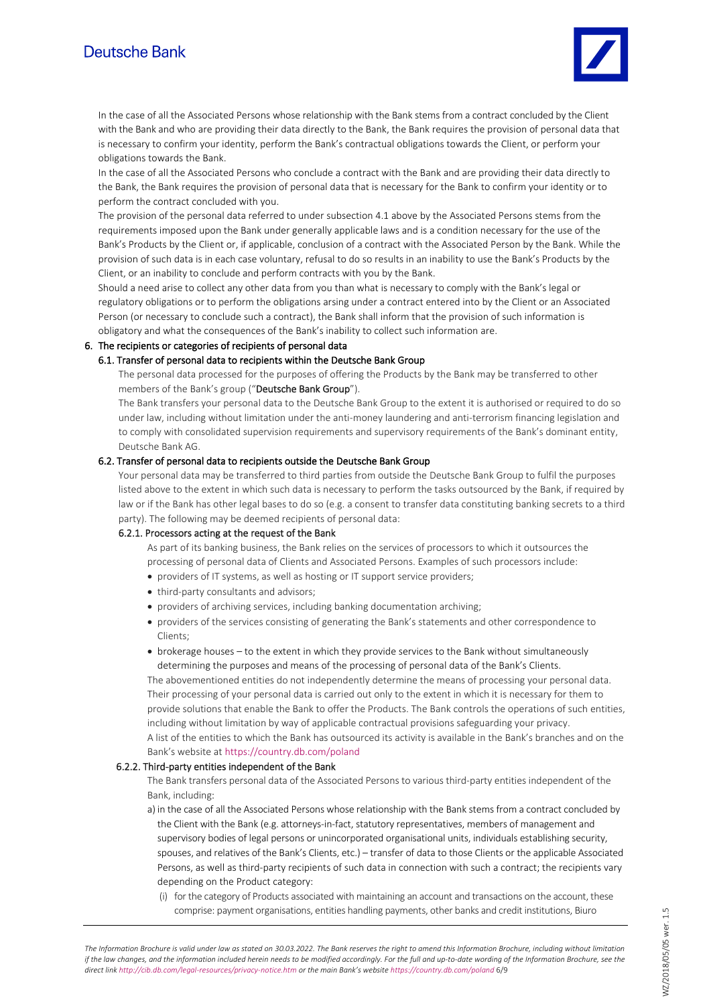# Deutsche Bank



In the case of all the Associated Persons whose relationship with the Bank stems from a contract concluded by the Client with the Bank and who are providing their data directly to the Bank, the Bank requires the provision of personal data that is necessary to confirm your identity, perform the Bank's contractual obligations towards the Client, or perform your obligations towards the Bank.

In the case of all the Associated Persons who conclude a contract with the Bank and are providing their data directly to the Bank, the Bank requires the provision of personal data that is necessary for the Bank to confirm your identity or to perform the contract concluded with you.

The provision of the personal data referred to under subsection 4.1 above by the Associated Persons stems from the requirements imposed upon the Bank under generally applicable laws and is a condition necessary for the use of the Bank's Products by the Client or, if applicable, conclusion of a contract with the Associated Person by the Bank. While the provision of such data is in each case voluntary, refusal to do so results in an inability to use the Bank's Products by the Client, or an inability to conclude and perform contracts with you by the Bank.

Should a need arise to collect any other data from you than what is necessary to comply with the Bank's legal or regulatory obligations or to perform the obligations arsing under a contract entered into by the Client or an Associated Person (or necessary to conclude such a contract), the Bank shall inform that the provision of such information is obligatory and what the consequences of the Bank's inability to collect such information are.

## 6. The recipients or categories of recipients of personal data

#### 6.1. Transfer of personal data to recipients within the Deutsche Bank Group

The personal data processed for the purposes of offering the Products by the Bank may be transferred to other members of the Bank's group ("Deutsche Bank Group").

The Bank transfers your personal data to the Deutsche Bank Group to the extent it is authorised or required to do so under law, including without limitation under the anti-money laundering and anti-terrorism financing legislation and to comply with consolidated supervision requirements and supervisory requirements of the Bank's dominant entity, Deutsche Bank AG.

#### 6.2. Transfer of personal data to recipients outside the Deutsche Bank Group

Your personal data may be transferred to third parties from outside the Deutsche Bank Group to fulfil the purposes listed above to the extent in which such data is necessary to perform the tasks outsourced by the Bank, if required by law or if the Bank has other legal bases to do so (e.g. a consent to transfer data constituting banking secrets to a third party). The following may be deemed recipients of personal data:

#### 6.2.1. Processors acting at the request of the Bank

As part of its banking business, the Bank relies on the services of processors to which it outsources the processing of personal data of Clients and Associated Persons. Examples of such processors include:

- providers of IT systems, as well as hosting or IT support service providers;
- third-party consultants and advisors;
- providers of archiving services, including banking documentation archiving;
- providers of the services consisting of generating the Bank's statements and other correspondence to Clients<sup></sup>
- brokerage houses to the extent in which they provide services to the Bank without simultaneously determining the purposes and means of the processing of personal data of the Bank's Clients.

The abovementioned entities do not independently determine the means of processing your personal data. Their processing of your personal data is carried out only to the extent in which it is necessary for them to provide solutions that enable the Bank to offer the Products. The Bank controls the operations of such entities, including without limitation by way of applicable contractual provisions safeguarding your privacy. A list of the entities to which the Bank has outsourced its activity is available in the Bank's branches and on the Bank's website at <https://country.db.com/poland>

#### 6.2.2. Third-party entities independent of the Bank

The Bank transfers personal data of the Associated Persons to various third-party entities independent of the Bank, including:

a) in the case of all the Associated Persons whose relationship with the Bank stems from a contract concluded by the Client with the Bank (e.g. attorneys-in-fact, statutory representatives, members of management and supervisory bodies of legal persons or unincorporated organisational units, individuals establishing security, spouses, and relatives of the Bank's Clients, etc.) – transfer of data to those Clients or the applicable Associated Persons, as well as third-party recipients of such data in connection with such a contract; the recipients vary depending on the Product category:

(i) for the category of Products associated with maintaining an account and transactions on the account, these comprise: payment organisations, entities handling payments, other banks and credit institutions, Biuro

*The Information Brochure is valid under law as stated on 30.03.2022. The Bank reserves the right to amend this Information Brochure, including without limitation if the law changes, and the information included herein needs to be modified accordingly. For the full and up-to-date wording of the Information Brochure, see the direct lin[k http://cib.db.com/legal-resources/privacy-notice.htm](http://cib.db.com/legal-resources/privacy-notice.htm) or the main Bank's website <https://country.db.com/poland>* 6/9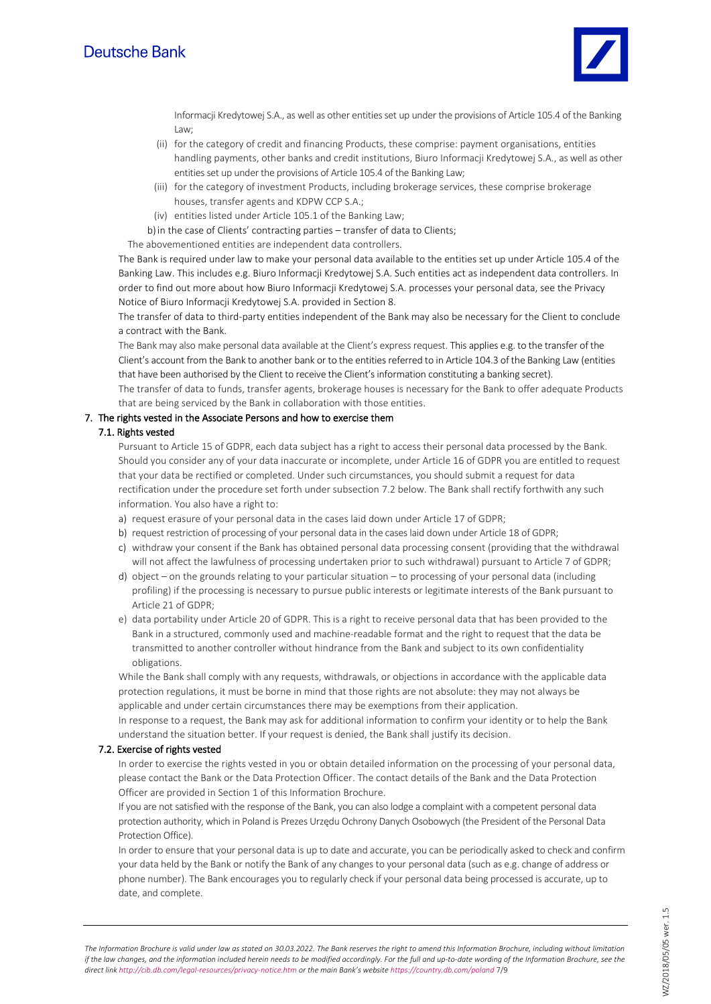

Informacji Kredytowej S.A., as well as other entities set up under the provisions of Article 105.4 of the Banking Law;

- (ii) for the category of credit and financing Products, these comprise: payment organisations, entities handling payments, other banks and credit institutions, Biuro Informacji Kredytowej S.A., as well as other entities set up under the provisions of Article 105.4 of the Banking Law;
- (iii) for the category of investment Products, including brokerage services, these comprise brokerage houses, transfer agents and KDPW CCP S.A.;
- (iv) entities listed under Article 105.1 of the Banking Law;
- b)in the case of Clients' contracting parties transfer of data to Clients;

The abovementioned entities are independent data controllers.

The Bank is required under law to make your personal data available to the entities set up under Article 105.4 of the Banking Law. This includes e.g. Biuro Informacji Kredytowej S.A. Such entities act as independent data controllers. In order to find out more about how Biuro Informacji Kredytowej S.A. processes your personal data, see the Privacy Notice of Biuro Informacji Kredytowej S.A. provided in Section 8.

The transfer of data to third-party entities independent of the Bank may also be necessary for the Client to conclude a contract with the Bank.

The Bank may also make personal data available at the Client's express request. This applies e.g. to the transfer of the Client's account from the Bank to another bank or to the entities referred to in Article 104.3 of the Banking Law (entities that have been authorised by the Client to receive the Client's information constituting a banking secret).

The transfer of data to funds, transfer agents, brokerage houses is necessary for the Bank to offer adequate Products that are being serviced by the Bank in collaboration with those entities.

#### 7. The rights vested in the Associate Persons and how to exercise them

## 7.1. Rights vested

Pursuant to Article 15 of GDPR, each data subject has a right to access their personal data processed by the Bank. Should you consider any of your data inaccurate or incomplete, under Article 16 of GDPR you are entitled to request that your data be rectified or completed. Under such circumstances, you should submit a request for data rectification under the procedure set forth under subsection 7.2 below. The Bank shall rectify forthwith any such information. You also have a right to:

- a) request erasure of your personal data in the cases laid down under Article 17 of GDPR;
- b) request restriction of processing of your personal data in the cases laid down under Article 18 of GDPR;
- c) withdraw your consent if the Bank has obtained personal data processing consent (providing that the withdrawal will not affect the lawfulness of processing undertaken prior to such withdrawal) pursuant to Article 7 of GDPR;
- d) object on the grounds relating to your particular situation to processing of your personal data (including profiling) if the processing is necessary to pursue public interests or legitimate interests of the Bank pursuant to Article 21 of GDPR;
- e) data portability under Article 20 of GDPR. This is a right to receive personal data that has been provided to the Bank in a structured, commonly used and machine-readable format and the right to request that the data be transmitted to another controller without hindrance from the Bank and subject to its own confidentiality obligations.

While the Bank shall comply with any requests, withdrawals, or objections in accordance with the applicable data protection regulations, it must be borne in mind that those rights are not absolute: they may not always be applicable and under certain circumstances there may be exemptions from their application.

In response to a request, the Bank may ask for additional information to confirm your identity or to help the Bank understand the situation better. If your request is denied, the Bank shall justify its decision.

#### 7.2. Exercise of rights vested

In order to exercise the rights vested in you or obtain detailed information on the processing of your personal data, please contact the Bank or the Data Protection Officer. The contact details of the Bank and the Data Protection Officer are provided in Section 1 of this Information Brochure.

If you are not satisfied with the response of the Bank, you can also lodge a complaint with a competent personal data protection authority, which in Poland is Prezes Urzędu Ochrony Danych Osobowych (the President of the Personal Data Protection Office).

In order to ensure that your personal data is up to date and accurate, you can be periodically asked to check and confirm your data held by the Bank or notify the Bank of any changes to your personal data (such as e.g. change of address or phone number). The Bank encourages you to regularly check if your personal data being processed is accurate, up to date, and complete.

*The Information Brochure is valid under law as stated on 30.03.2022. The Bank reserves the right to amend this Information Brochure, including without limitation if the law changes, and the information included herein needs to be modified accordingly. For the full and up-to-date wording of the Information Brochure, see the direct lin[k http://cib.db.com/legal-resources/privacy-notice.htm](http://cib.db.com/legal-resources/privacy-notice.htm) or the main Bank's website <https://country.db.com/poland>* 7/9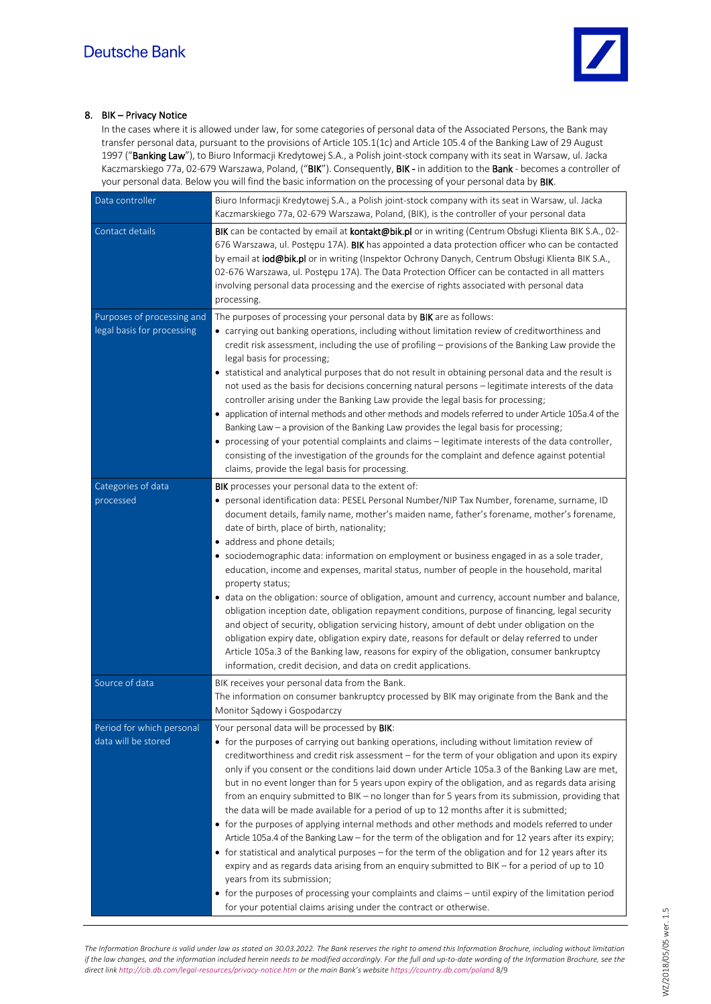

## 8. BIK – Privacy Notice

In the cases where it is allowed under law, for some categories of personal data of the Associated Persons, the Bank may transfer personal data, pursuant to the provisions of Article 105.1(1c) and Article 105.4 of the Banking Law of 29 August 1997 ("Banking Law"), to Biuro Informacji Kredytowej S.A., a Polish joint-stock company with its seat in Warsaw, ul. Jacka Kaczmarskiego 77a, 02-679 Warszawa, Poland, ("BIK"). Consequently, BIK - in addition to the Bank - becomes a controller of your personal data. Below you will find the basic information on the processing of your personal data by BIK.

| Data controller                                          | Biuro Informacji Kredytowej S.A., a Polish joint-stock company with its seat in Warsaw, ul. Jacka<br>Kaczmarskiego 77a, 02-679 Warszawa, Poland, (BIK), is the controller of your personal data                                                                                                                                                                                                                                                                                                                                                                                                                                                                                                                                                                                                                                                                                                                                                                                                                                                                                                                                                                                                                                                                                              |
|----------------------------------------------------------|----------------------------------------------------------------------------------------------------------------------------------------------------------------------------------------------------------------------------------------------------------------------------------------------------------------------------------------------------------------------------------------------------------------------------------------------------------------------------------------------------------------------------------------------------------------------------------------------------------------------------------------------------------------------------------------------------------------------------------------------------------------------------------------------------------------------------------------------------------------------------------------------------------------------------------------------------------------------------------------------------------------------------------------------------------------------------------------------------------------------------------------------------------------------------------------------------------------------------------------------------------------------------------------------|
| Contact details                                          | BIK can be contacted by email at <b>kontakt@bik.pl</b> or in writing (Centrum Obsługi Klienta BIK S.A., 02-<br>676 Warszawa, ul. Postępu 17A). BIK has appointed a data protection officer who can be contacted<br>by email at iod@bik.pl or in writing (Inspektor Ochrony Danych, Centrum Obsługi Klienta BIK S.A.,<br>02-676 Warszawa, ul. Postępu 17A). The Data Protection Officer can be contacted in all matters<br>involving personal data processing and the exercise of rights associated with personal data<br>processing.                                                                                                                                                                                                                                                                                                                                                                                                                                                                                                                                                                                                                                                                                                                                                         |
| Purposes of processing and<br>legal basis for processing | The purposes of processing your personal data by BIK are as follows:<br>• carrying out banking operations, including without limitation review of creditworthiness and<br>credit risk assessment, including the use of profiling - provisions of the Banking Law provide the<br>legal basis for processing;<br>• statistical and analytical purposes that do not result in obtaining personal data and the result is<br>not used as the basis for decisions concerning natural persons - legitimate interests of the data<br>controller arising under the Banking Law provide the legal basis for processing;<br>• application of internal methods and other methods and models referred to under Article 105a.4 of the<br>Banking Law - a provision of the Banking Law provides the legal basis for processing;<br>• processing of your potential complaints and claims - legitimate interests of the data controller,<br>consisting of the investigation of the grounds for the complaint and defence against potential<br>claims, provide the legal basis for processing.                                                                                                                                                                                                                 |
| Categories of data<br>processed                          | BIK processes your personal data to the extent of:<br>• personal identification data: PESEL Personal Number/NIP Tax Number, forename, surname, ID<br>document details, family name, mother's maiden name, father's forename, mother's forename,<br>date of birth, place of birth, nationality;<br>• address and phone details;<br>· sociodemographic data: information on employment or business engaged in as a sole trader,<br>education, income and expenses, marital status, number of people in the household, marital<br>property status;<br>• data on the obligation: source of obligation, amount and currency, account number and balance,<br>obligation inception date, obligation repayment conditions, purpose of financing, legal security<br>and object of security, obligation servicing history, amount of debt under obligation on the<br>obligation expiry date, obligation expiry date, reasons for default or delay referred to under<br>Article 105a.3 of the Banking law, reasons for expiry of the obligation, consumer bankruptcy<br>information, credit decision, and data on credit applications.                                                                                                                                                                  |
| Source of data                                           | BIK receives your personal data from the Bank.<br>The information on consumer bankruptcy processed by BIK may originate from the Bank and the<br>Monitor Sądowy i Gospodarczy                                                                                                                                                                                                                                                                                                                                                                                                                                                                                                                                                                                                                                                                                                                                                                                                                                                                                                                                                                                                                                                                                                                |
| Period for which personal<br>data will be stored         | Your personal data will be processed by BIK:<br>• for the purposes of carrying out banking operations, including without limitation review of<br>creditworthiness and credit risk assessment - for the term of your obligation and upon its expiry<br>only if you consent or the conditions laid down under Article 105a.3 of the Banking Law are met,<br>but in no event longer than for 5 years upon expiry of the obligation, and as regards data arising<br>from an enquiry submitted to BIK - no longer than for 5 years from its submission, providing that<br>the data will be made available for a period of up to 12 months after it is submitted;<br>• for the purposes of applying internal methods and other methods and models referred to under<br>Article 105a.4 of the Banking Law - for the term of the obligation and for 12 years after its expiry;<br>• for statistical and analytical purposes – for the term of the obligation and for 12 years after its<br>expiry and as regards data arising from an enquiry submitted to BIK - for a period of up to 10<br>years from its submission;<br>• for the purposes of processing your complaints and claims - until expiry of the limitation period<br>for your potential claims arising under the contract or otherwise. |